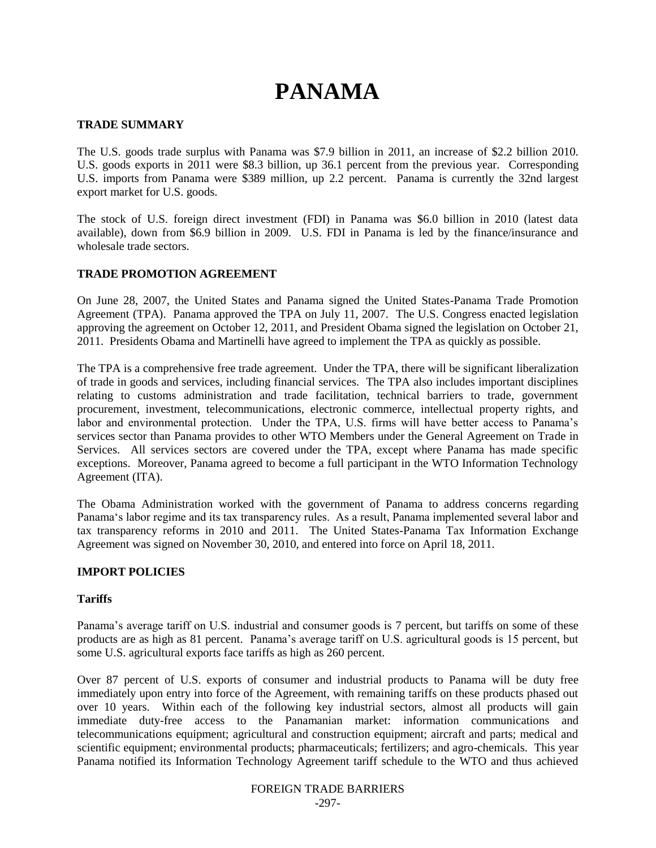# **PANAMA**

#### **TRADE SUMMARY**

The U.S. goods trade surplus with Panama was \$7.9 billion in 2011, an increase of \$2.2 billion 2010. U.S. goods exports in 2011 were \$8.3 billion, up 36.1 percent from the previous year. Corresponding U.S. imports from Panama were \$389 million, up 2.2 percent. Panama is currently the 32nd largest export market for U.S. goods.

The stock of U.S. foreign direct investment (FDI) in Panama was \$6.0 billion in 2010 (latest data available), down from \$6.9 billion in 2009. U.S. FDI in Panama is led by the finance/insurance and wholesale trade sectors.

#### **TRADE PROMOTION AGREEMENT**

On June 28, 2007, the United States and Panama signed the United States-Panama Trade Promotion Agreement (TPA). Panama approved the TPA on July 11, 2007. The U.S. Congress enacted legislation approving the agreement on October 12, 2011, and President Obama signed the legislation on October 21, 2011. Presidents Obama and Martinelli have agreed to implement the TPA as quickly as possible.

The TPA is a comprehensive free trade agreement. Under the TPA, there will be significant liberalization of trade in goods and services, including financial services. The TPA also includes important disciplines relating to customs administration and trade facilitation, technical barriers to trade, government procurement, investment, telecommunications, electronic commerce, intellectual property rights, and labor and environmental protection. Under the TPA, U.S. firms will have better access to Panama"s services sector than Panama provides to other WTO Members under the General Agreement on Trade in Services. All services sectors are covered under the TPA, except where Panama has made specific exceptions. Moreover, Panama agreed to become a full participant in the WTO Information Technology Agreement (ITA).

The Obama Administration worked with the government of Panama to address concerns regarding Panama"s labor regime and its tax transparency rules. As a result, Panama implemented several labor and tax transparency reforms in 2010 and 2011. The United States-Panama Tax Information Exchange Agreement was signed on November 30, 2010, and entered into force on April 18, 2011.

#### **IMPORT POLICIES**

#### **Tariffs**

Panama"s average tariff on U.S. industrial and consumer goods is 7 percent, but tariffs on some of these products are as high as 81 percent. Panama"s average tariff on U.S. agricultural goods is 15 percent, but some U.S. agricultural exports face tariffs as high as 260 percent.

Over 87 percent of U.S. exports of consumer and industrial products to Panama will be duty free immediately upon entry into force of the Agreement, with remaining tariffs on these products phased out over 10 years. Within each of the following key industrial sectors, almost all products will gain immediate duty-free access to the Panamanian market: information communications and telecommunications equipment; agricultural and construction equipment; aircraft and parts; medical and scientific equipment; environmental products; pharmaceuticals; fertilizers; and agro-chemicals. This year Panama notified its Information Technology Agreement tariff schedule to the WTO and thus achieved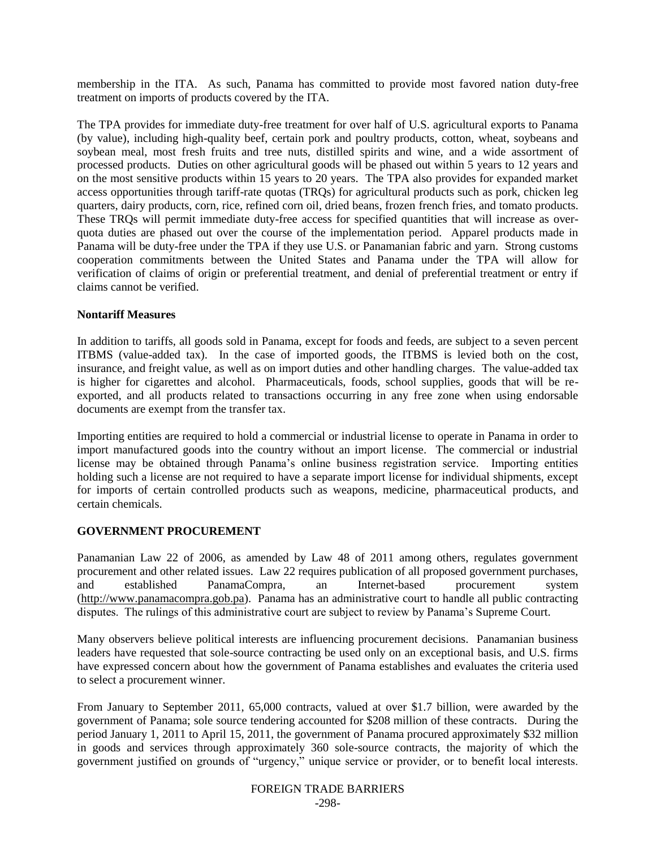membership in the ITA. As such, Panama has committed to provide most favored nation duty-free treatment on imports of products covered by the ITA.

The TPA provides for immediate duty-free treatment for over half of U.S. agricultural exports to Panama (by value), including high-quality beef, certain pork and poultry products, cotton, wheat, soybeans and soybean meal, most fresh fruits and tree nuts, distilled spirits and wine, and a wide assortment of processed products. Duties on other agricultural goods will be phased out within 5 years to 12 years and on the most sensitive products within 15 years to 20 years. The TPA also provides for expanded market access opportunities through tariff-rate quotas (TRQs) for agricultural products such as pork, chicken leg quarters, dairy products, corn, rice, refined corn oil, dried beans, frozen french fries, and tomato products. These TRQs will permit immediate duty-free access for specified quantities that will increase as overquota duties are phased out over the course of the implementation period. Apparel products made in Panama will be duty-free under the TPA if they use U.S. or Panamanian fabric and yarn. Strong customs cooperation commitments between the United States and Panama under the TPA will allow for verification of claims of origin or preferential treatment, and denial of preferential treatment or entry if claims cannot be verified.

#### **Nontariff Measures**

In addition to tariffs, all goods sold in Panama, except for foods and feeds, are subject to a seven percent ITBMS (value-added tax). In the case of imported goods, the ITBMS is levied both on the cost, insurance, and freight value, as well as on import duties and other handling charges. The value-added tax is higher for cigarettes and alcohol. Pharmaceuticals, foods, school supplies, goods that will be reexported, and all products related to transactions occurring in any free zone when using endorsable documents are exempt from the transfer tax.

Importing entities are required to hold a commercial or industrial license to operate in Panama in order to import manufactured goods into the country without an import license. The commercial or industrial license may be obtained through Panama"s online business registration service. Importing entities holding such a license are not required to have a separate import license for individual shipments, except for imports of certain controlled products such as weapons, medicine, pharmaceutical products, and certain chemicals.

# **GOVERNMENT PROCUREMENT**

Panamanian Law 22 of 2006, as amended by Law 48 of 2011 among others, regulates government procurement and other related issues. Law 22 requires publication of all proposed government purchases, and established PanamaCompra, an Internet-based procurement system (http://www.panamacompra.gob.pa). Panama has an administrative court to handle all public contracting disputes. The rulings of this administrative court are subject to review by Panama"s Supreme Court.

Many observers believe political interests are influencing procurement decisions. Panamanian business leaders have requested that sole-source contracting be used only on an exceptional basis, and U.S. firms have expressed concern about how the government of Panama establishes and evaluates the criteria used to select a procurement winner.

From January to September 2011, 65,000 contracts, valued at over \$1.7 billion, were awarded by the government of Panama; sole source tendering accounted for \$208 million of these contracts. During the period January 1, 2011 to April 15, 2011, the government of Panama procured approximately \$32 million in goods and services through approximately 360 sole-source contracts, the majority of which the government justified on grounds of "urgency," unique service or provider, or to benefit local interests.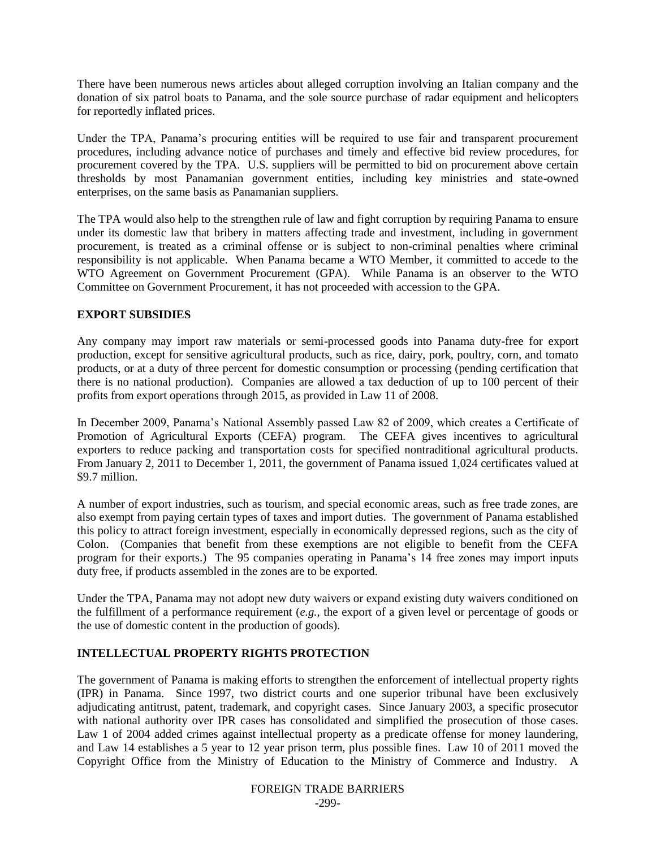There have been numerous news articles about alleged corruption involving an Italian company and the donation of six patrol boats to Panama, and the sole source purchase of radar equipment and helicopters for reportedly inflated prices.

Under the TPA, Panama"s procuring entities will be required to use fair and transparent procurement procedures, including advance notice of purchases and timely and effective bid review procedures, for procurement covered by the TPA. U.S. suppliers will be permitted to bid on procurement above certain thresholds by most Panamanian government entities, including key ministries and state-owned enterprises, on the same basis as Panamanian suppliers.

The TPA would also help to the strengthen rule of law and fight corruption by requiring Panama to ensure under its domestic law that bribery in matters affecting trade and investment, including in government procurement, is treated as a criminal offense or is subject to non-criminal penalties where criminal responsibility is not applicable. When Panama became a WTO Member, it committed to accede to the WTO Agreement on Government Procurement (GPA). While Panama is an observer to the WTO Committee on Government Procurement, it has not proceeded with accession to the GPA.

## **EXPORT SUBSIDIES**

Any company may import raw materials or semi-processed goods into Panama duty-free for export production, except for sensitive agricultural products, such as rice, dairy, pork, poultry, corn, and tomato products, or at a duty of three percent for domestic consumption or processing (pending certification that there is no national production). Companies are allowed a tax deduction of up to 100 percent of their profits from export operations through 2015, as provided in Law 11 of 2008.

In December 2009, Panama"s National Assembly passed Law 82 of 2009, which creates a Certificate of Promotion of Agricultural Exports (CEFA) program. The CEFA gives incentives to agricultural exporters to reduce packing and transportation costs for specified nontraditional agricultural products. From January 2, 2011 to December 1, 2011, the government of Panama issued 1,024 certificates valued at \$9.7 million.

A number of export industries, such as tourism, and special economic areas, such as free trade zones, are also exempt from paying certain types of taxes and import duties. The government of Panama established this policy to attract foreign investment, especially in economically depressed regions, such as the city of Colon. (Companies that benefit from these exemptions are not eligible to benefit from the CEFA program for their exports.) The 95 companies operating in Panama"s 14 free zones may import inputs duty free, if products assembled in the zones are to be exported.

Under the TPA, Panama may not adopt new duty waivers or expand existing duty waivers conditioned on the fulfillment of a performance requirement (*e.g.*, the export of a given level or percentage of goods or the use of domestic content in the production of goods).

# **INTELLECTUAL PROPERTY RIGHTS PROTECTION**

The government of Panama is making efforts to strengthen the enforcement of intellectual property rights (IPR) in Panama. Since 1997, two district courts and one superior tribunal have been exclusively adjudicating antitrust, patent, trademark, and copyright cases. Since January 2003, a specific prosecutor with national authority over IPR cases has consolidated and simplified the prosecution of those cases. Law 1 of 2004 added crimes against intellectual property as a predicate offense for money laundering, and Law 14 establishes a 5 year to 12 year prison term, plus possible fines. Law 10 of 2011 moved the Copyright Office from the Ministry of Education to the Ministry of Commerce and Industry. A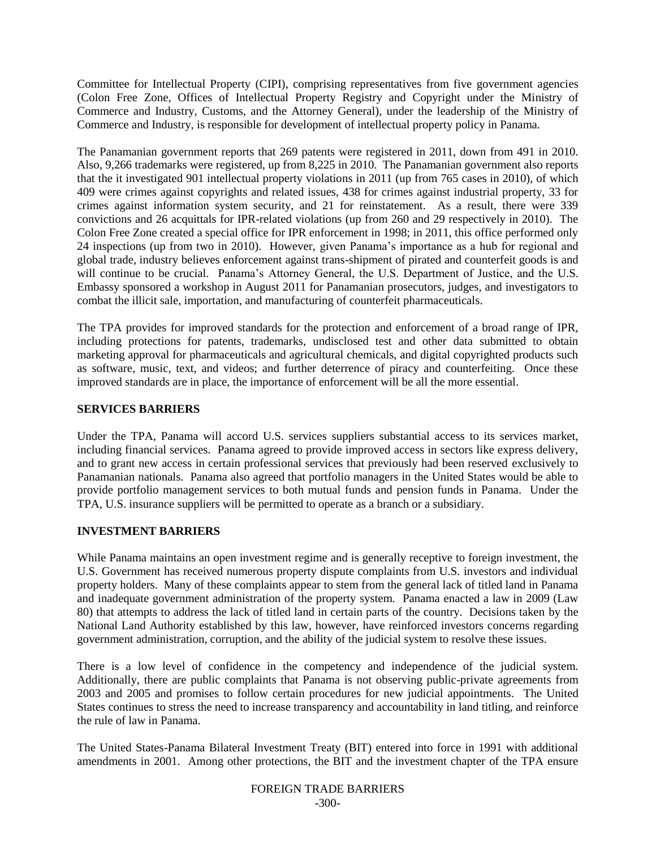Committee for Intellectual Property (CIPI), comprising representatives from five government agencies (Colon Free Zone, Offices of Intellectual Property Registry and Copyright under the Ministry of Commerce and Industry, Customs, and the Attorney General), under the leadership of the Ministry of Commerce and Industry, is responsible for development of intellectual property policy in Panama.

The Panamanian government reports that 269 patents were registered in 2011, down from 491 in 2010. Also, 9,266 trademarks were registered, up from 8,225 in 2010. The Panamanian government also reports that the it investigated 901 intellectual property violations in 2011 (up from 765 cases in 2010), of which 409 were crimes against copyrights and related issues, 438 for crimes against industrial property, 33 for crimes against information system security, and 21 for reinstatement. As a result, there were 339 convictions and 26 acquittals for IPR-related violations (up from 260 and 29 respectively in 2010). The Colon Free Zone created a special office for IPR enforcement in 1998; in 2011, this office performed only 24 inspections (up from two in 2010). However, given Panama"s importance as a hub for regional and global trade, industry believes enforcement against trans-shipment of pirated and counterfeit goods is and will continue to be crucial. Panama's Attorney General, the U.S. Department of Justice, and the U.S. Embassy sponsored a workshop in August 2011 for Panamanian prosecutors, judges, and investigators to combat the illicit sale, importation, and manufacturing of counterfeit pharmaceuticals.

The TPA provides for improved standards for the protection and enforcement of a broad range of IPR, including protections for patents, trademarks, undisclosed test and other data submitted to obtain marketing approval for pharmaceuticals and agricultural chemicals, and digital copyrighted products such as software, music, text, and videos; and further deterrence of piracy and counterfeiting. Once these improved standards are in place, the importance of enforcement will be all the more essential.

#### **SERVICES BARRIERS**

Under the TPA, Panama will accord U.S. services suppliers substantial access to its services market, including financial services. Panama agreed to provide improved access in sectors like express delivery, and to grant new access in certain professional services that previously had been reserved exclusively to Panamanian nationals. Panama also agreed that portfolio managers in the United States would be able to provide portfolio management services to both mutual funds and pension funds in Panama. Under the TPA, U.S. insurance suppliers will be permitted to operate as a branch or a subsidiary.

# **INVESTMENT BARRIERS**

While Panama maintains an open investment regime and is generally receptive to foreign investment, the U.S. Government has received numerous property dispute complaints from U.S. investors and individual property holders. Many of these complaints appear to stem from the general lack of titled land in Panama and inadequate government administration of the property system. Panama enacted a law in 2009 (Law 80) that attempts to address the lack of titled land in certain parts of the country. Decisions taken by the National Land Authority established by this law, however, have reinforced investors concerns regarding government administration, corruption, and the ability of the judicial system to resolve these issues.

There is a low level of confidence in the competency and independence of the judicial system. Additionally, there are public complaints that Panama is not observing public-private agreements from 2003 and 2005 and promises to follow certain procedures for new judicial appointments. The United States continues to stress the need to increase transparency and accountability in land titling, and reinforce the rule of law in Panama.

The United States-Panama Bilateral Investment Treaty (BIT) entered into force in 1991 with additional amendments in 2001. Among other protections, the BIT and the investment chapter of the TPA ensure